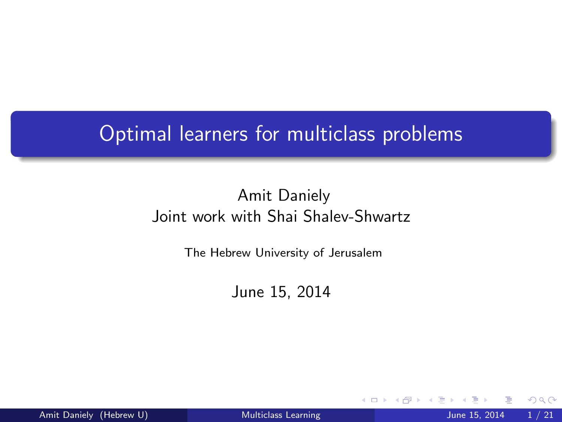## Optimal learners for multiclass problems

### Amit Daniely Joint work with Shai Shalev-Shwartz

The Hebrew University of Jerusalem

June 15, 2014

<span id="page-0-0"></span>4 0 8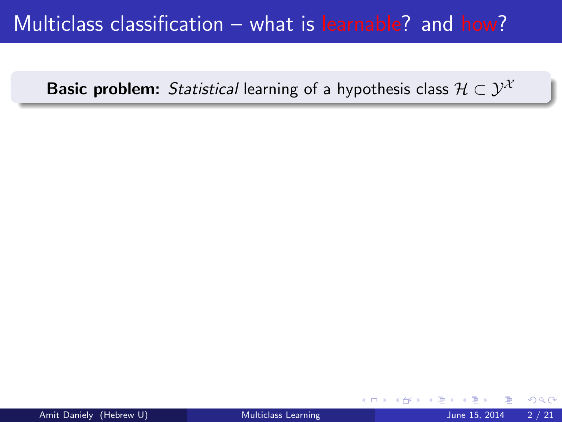## Multiclass classification – what is learnable? and how?

**Basic problem:** Statistical learning of a hypothesis class  $\mathcal{H} \subset \mathcal{Y}^{\mathcal{X}}$ 

4 0 8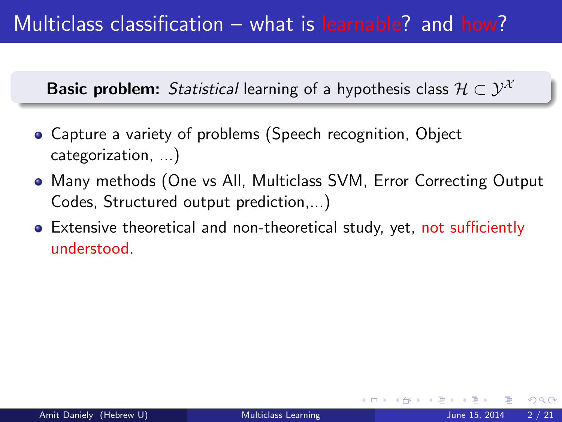**Basic problem:** Statistical learning of a hypothesis class  $\mathcal{H} \subset \mathcal{Y}^{\mathcal{X}}$ 

- Capture a variety of problems (Speech recognition, Object categorization, ...)
- Many methods (One vs All, Multiclass SVM, Error Correcting Output Codes, Structured output prediction,...)
- Extensive theoretical and non-theoretical study, yet, not sufficiently understood.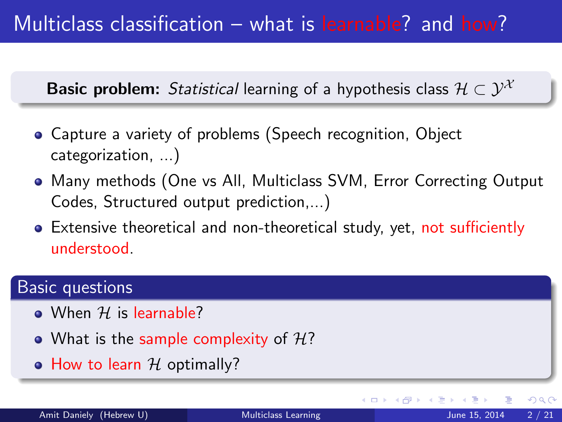**Basic problem:** Statistical learning of a hypothesis class  $\mathcal{H} \subset \mathcal{Y}^{\mathcal{X}}$ 

- Capture a variety of problems (Speech recognition, Object categorization, ...)
- Many methods (One vs All, Multiclass SVM, Error Correcting Output Codes, Structured output prediction,...)
- Extensive theoretical and non-theoretical study, yet, not sufficiently understood.

### Basic questions

- When  $H$  is learnable?
- What is the sample complexity of  $H$ ?
- $\bullet$  How to learn  $H$  optimally?

ィロ ▶ イ母 ▶ イヨ ▶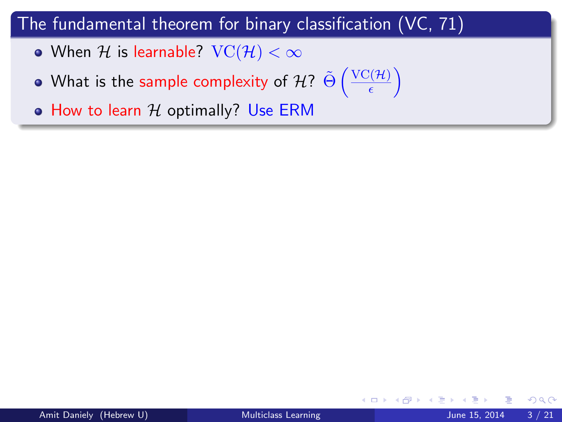- When H is learnable?  $VC(H) < \infty$
- What is the sample complexity of  $\mathcal{H}$ ?  $\tilde{\Theta} \left( \frac{\operatorname{VC}(\mathcal{H})}{\epsilon} \right)$  $\frac{\partial (\mathcal{H})}{\epsilon}$

 $\bullet$  How to learn  $H$  optimally? Use ERM

4 0 8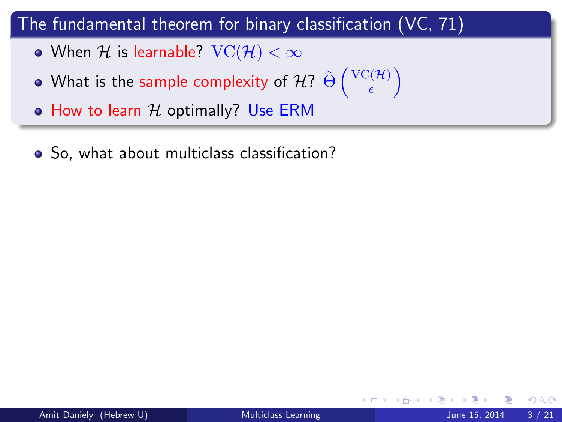- When H is learnable?  $VC(H) < \infty$
- What is the sample complexity of  $\mathcal{H}$ ?  $\tilde{\Theta} \left( \frac{\operatorname{VC}(\mathcal{H})}{\epsilon} \right)$  $\frac{\partial (\mathcal{H})}{\epsilon}$

 $\bullet$  How to learn  $H$  optimally? Use ERM

• So, what about multiclass classification?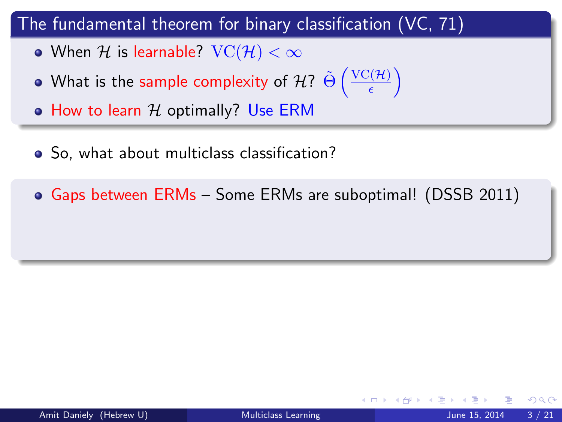- When H is learnable?  $VC(H) < \infty$
- What is the sample complexity of  $\mathcal{H}$ ?  $\tilde{\Theta} \left( \frac{\operatorname{VC}(\mathcal{H})}{\epsilon} \right)$  $\frac{\partial (\mathcal{H})}{\epsilon}$
- $\bullet$  How to learn  $H$  optimally? Use ERM
- So, what about multiclass classification?
- Gaps between ERMs Some ERMs are suboptimal! (DSSB 2011)

つひひ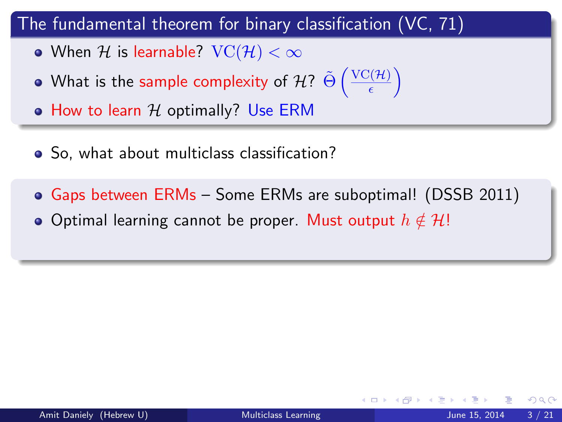- When H is learnable?  $VC(H) < \infty$
- What is the sample complexity of  $\mathcal{H}$ ?  $\tilde{\Theta} \left( \frac{\operatorname{VC}(\mathcal{H})}{\epsilon} \right)$  $\frac{\partial (\mathcal{H})}{\epsilon}$
- How to learn  $H$  optimally? Use ERM
- So, what about multiclass classification?
- Gaps between ERMs Some ERMs are suboptimal! (DSSB 2011) • Optimal learning cannot be proper. Must output  $h \notin \mathcal{H}!$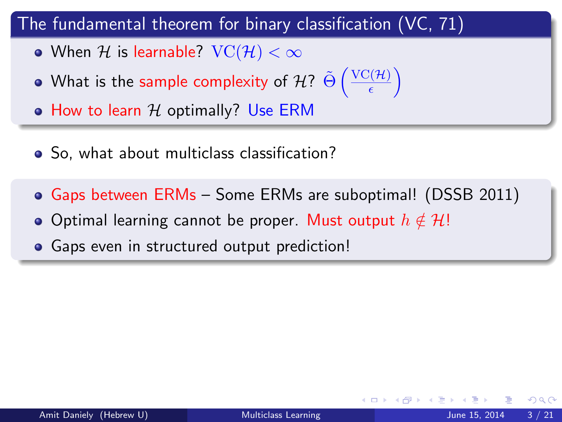- When H is learnable?  $VC(H) < \infty$
- What is the sample complexity of  $\mathcal{H}$ ?  $\tilde{\Theta} \left( \frac{\operatorname{VC}(\mathcal{H})}{\epsilon} \right)$  $\frac{\partial (\mathcal{H})}{\epsilon}$
- $\bullet$  How to learn  $H$  optimally? Use ERM
- So, what about multiclass classification?
- Gaps between ERMs Some ERMs are suboptimal! (DSSB 2011)
- Optimal learning cannot be proper. Must output  $h \notin \mathcal{H}!$
- **•** Gaps even in structured output prediction!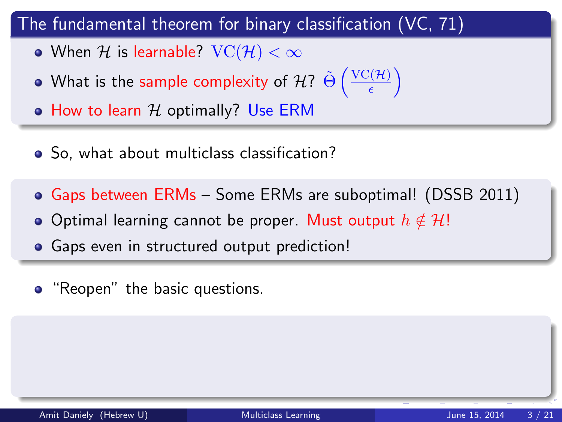- When H is learnable?  $VC(H) < \infty$
- What is the sample complexity of  $\mathcal{H}$ ?  $\tilde{\Theta} \left( \frac{\operatorname{VC}(\mathcal{H})}{\epsilon} \right)$  $\frac{\partial (\mathcal{H})}{\epsilon}$
- $\bullet$  How to learn  $H$  optimally? Use ERM
- So, what about multiclass classification?
- Gaps between ERMs Some ERMs are suboptimal! (DSSB 2011)
- Optimal learning cannot be proper. Must output  $h \notin \mathcal{H}!$
- **•** Gaps even in structured output prediction!
- "Reopen" the basic questions.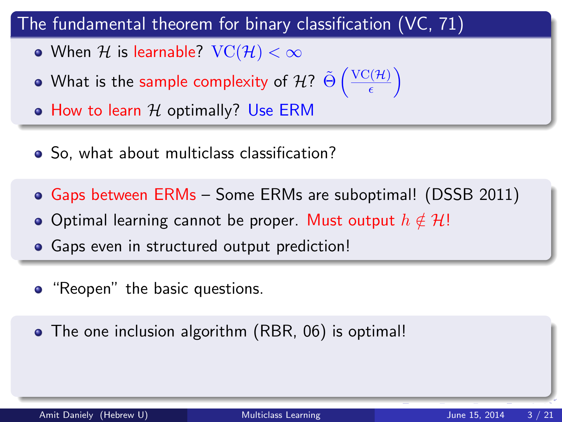- When H is learnable?  $VC(H) < \infty$
- What is the sample complexity of  $\mathcal{H}$ ?  $\tilde{\Theta} \left( \frac{\operatorname{VC}(\mathcal{H})}{\epsilon} \right)$  $\frac{\partial (\mathcal{H})}{\epsilon}$
- $\bullet$  How to learn  $H$  optimally? Use ERM
- So, what about multiclass classification?
- Gaps between ERMs Some ERMs are suboptimal! (DSSB 2011)
- Optimal learning cannot be proper. Must output  $h \notin \mathcal{H}!$
- **•** Gaps even in structured output prediction!
- "Reopen" the basic questions.
- The one inclusion algorithm (RBR, 06) is optimal!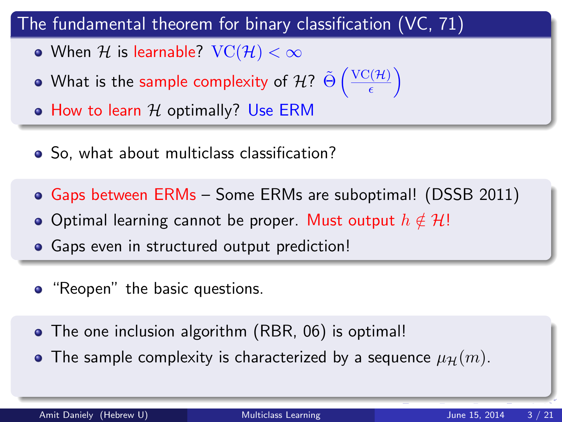- When H is learnable?  $VC(H) < \infty$
- What is the sample complexity of  $\mathcal{H}$ ?  $\tilde{\Theta} \left( \frac{\operatorname{VC}(\mathcal{H})}{\epsilon} \right)$  $\frac{\partial (\mathcal{H})}{\epsilon}$
- $\bullet$  How to learn  $H$  optimally? Use ERM
- So, what about multiclass classification?
- Gaps between ERMs Some ERMs are suboptimal! (DSSB 2011)
- Optimal learning cannot be proper. Must output  $h \notin \mathcal{H}!$
- **•** Gaps even in structured output prediction!
- "Reopen" the basic questions.
- The one inclusion algorithm (RBR, 06) is optimal!
- The sample complexity is characterized by a sequence  $\mu_{\mathcal{H}}(m)$ .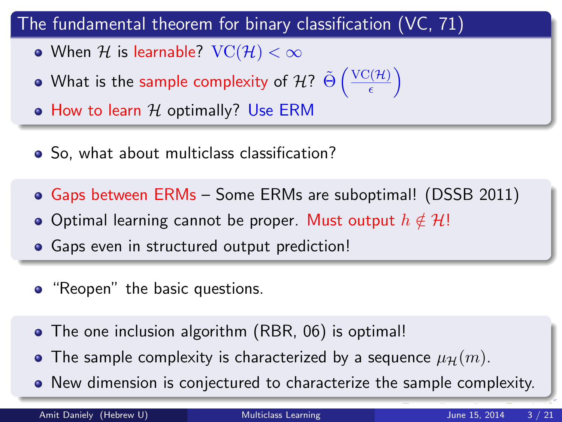- When H is learnable?  $VC(H) < \infty$
- What is the sample complexity of  $\mathcal{H}$ ?  $\tilde{\Theta} \left( \frac{\operatorname{VC}(\mathcal{H})}{\epsilon} \right)$  $\frac{\partial (\mathcal{H})}{\epsilon}$
- $\bullet$  How to learn  $H$  optimally? Use ERM
- So, what about multiclass classification?
- Gaps between ERMs Some ERMs are suboptimal! (DSSB 2011)
- Optimal learning cannot be proper. Must output  $h \notin \mathcal{H}!$
- **•** Gaps even in structured output prediction!
- "Reopen" the basic questions.
- The one inclusion algorithm (RBR, 06) is optimal!
- The sample complexity is characterized by a sequence  $\mu_{\mathcal{H}}(m)$ .
- New dimension is conjectured to characterize the sample complexity.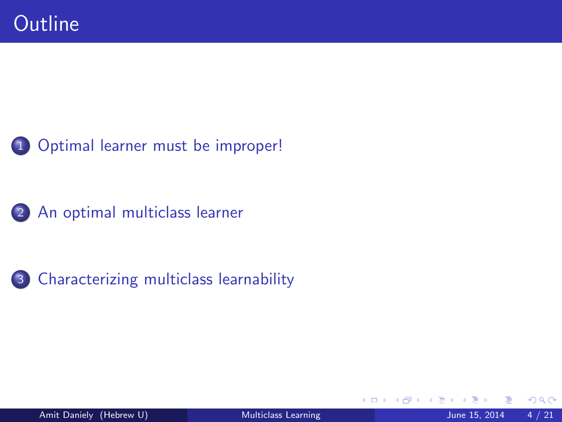





3 [Characterizing multiclass learnability](#page-43-0)

<span id="page-13-0"></span>4 D F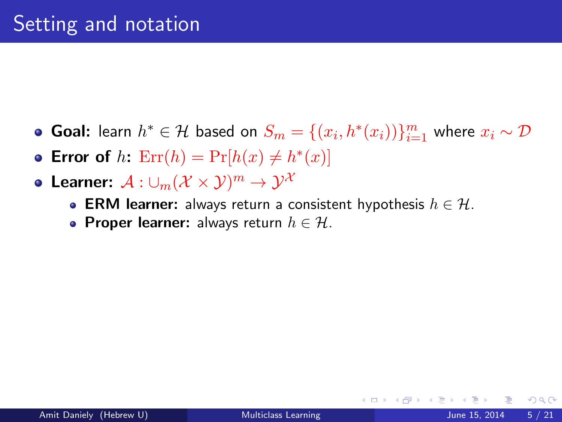- Goal: learn  $h^* \in \mathcal{H}$  based on  $S_m = \{(x_i, h^*(x_i))\}_{i=1}^m$  where  $x_i \sim \mathcal{D}$
- Error of  $h$ :  $\text{Err}(h) = \Pr[h(x) \neq h^*(x)]$
- Learner:  $\mathcal{A}:\cup_m(\mathcal{X}\times\mathcal{Y})^m\to\mathcal{Y}^\mathcal{X}$ 
	- ERM learner: always return a consistent hypothesis  $h \in \mathcal{H}$ .
	- Proper learner: always return  $h \in \mathcal{H}$ .

4 0 8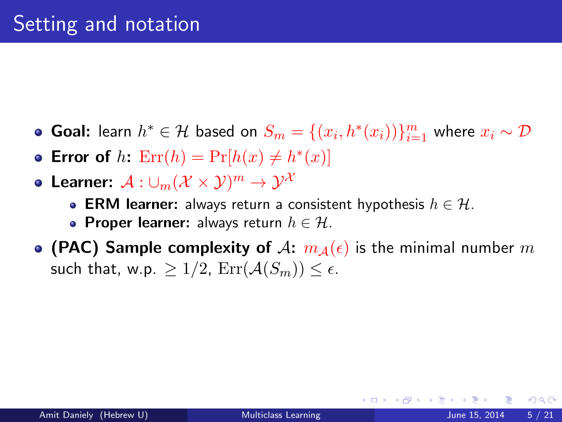- Goal: learn  $h^* \in \mathcal{H}$  based on  $S_m = \{(x_i, h^*(x_i))\}_{i=1}^m$  where  $x_i \sim \mathcal{D}$
- Error of  $h$ :  $\text{Err}(h) = \Pr[h(x) \neq h^*(x)]$
- Learner:  $\mathcal{A}:\cup_m(\mathcal{X}\times\mathcal{Y})^m\to\mathcal{Y}^\mathcal{X}$ 
	- ERM learner: always return a consistent hypothesis  $h \in \mathcal{H}$ .
	- Proper learner: always return  $h \in \mathcal{H}$ .
- (PAC) Sample complexity of A:  $m_A(\epsilon)$  is the minimal number m such that, w.p.  $> 1/2$ ,  $\text{Err}(\mathcal{A}(S_m)) \leq \epsilon$ .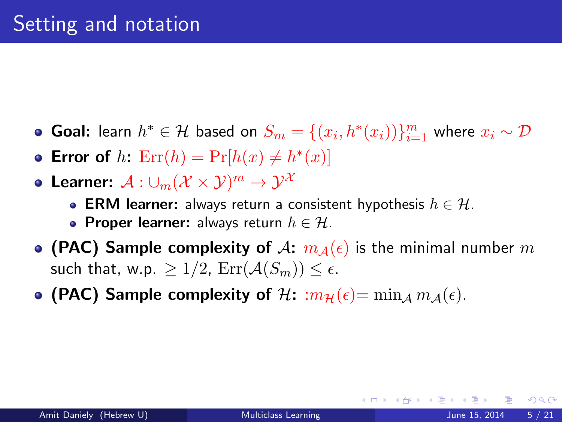- Goal: learn  $h^* \in \mathcal{H}$  based on  $S_m = \{(x_i, h^*(x_i))\}_{i=1}^m$  where  $x_i \sim \mathcal{D}$
- Error of  $h$ :  $\text{Err}(h) = \Pr[h(x) \neq h^*(x)]$
- Learner:  $\mathcal{A}:\cup_m(\mathcal{X}\times\mathcal{Y})^m\to\mathcal{Y}^\mathcal{X}$ 
	- ERM learner: always return a consistent hypothesis  $h \in \mathcal{H}$ .
	- Proper learner: always return  $h \in \mathcal{H}$ .
- (PAC) Sample complexity of A:  $m_A(\epsilon)$  is the minimal number m such that, w.p.  $> 1/2$ ,  $\text{Err}(\mathcal{A}(S_m)) \leq \epsilon$ .
- (PAC) Sample complexity of  $\mathcal{H}: m_{\mathcal{H}}(\epsilon) = \min_{A} m_{A}(\epsilon)$ .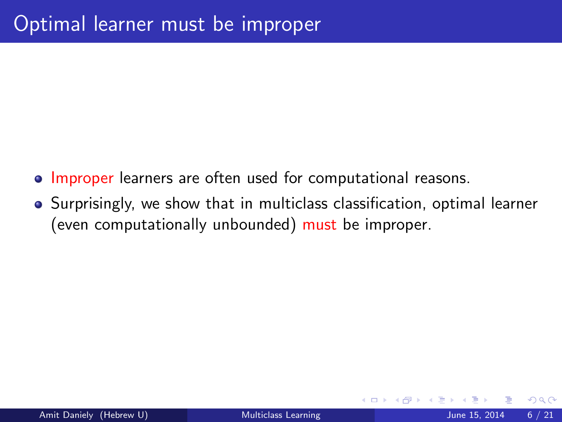- Improper learners are often used for computational reasons.
- Surprisingly, we show that in multiclass classification, optimal learner (even computationally unbounded) must be improper.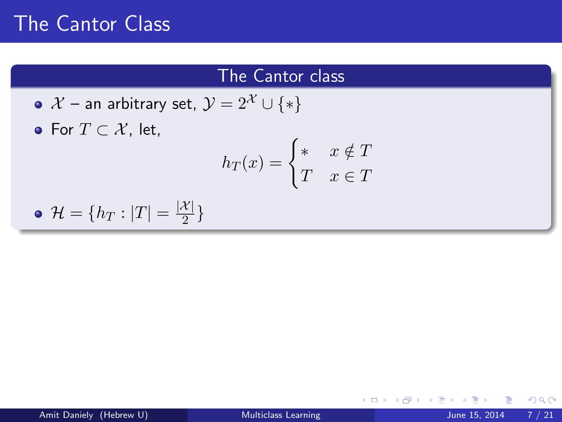### The Cantor class

\n- • 
$$
\mathcal{X}
$$
 – an arbitrary set,  $\mathcal{Y} = 2^{\mathcal{X}} \cup \{*\}$
\n- • For  $T \subset \mathcal{X}$ , let,  $h_T(x) = \begin{cases} * & x \notin T \\ T & x \in T \end{cases}$
\n

$$
\bullet \mathcal{H} = \{h_T : |T| = \frac{|\mathcal{X}|}{2}\}
$$

**← ロ ▶ → 伊** 

ふくぼう  $\rightarrow$ в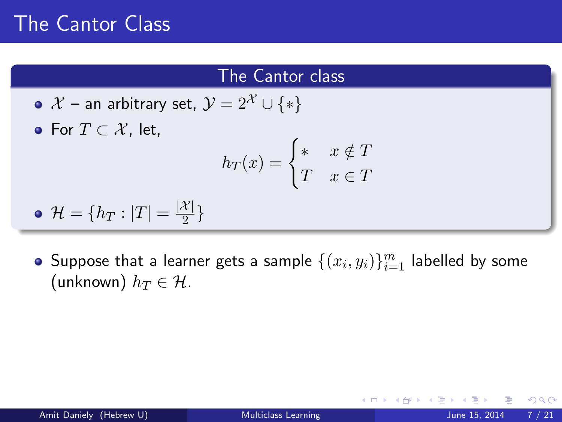### The Cantor class

•  $\mathcal{X}$  – an arbitrary set,  $\mathcal{Y} = 2^{\mathcal{X}} \cup \{*\}$ • For  $T \subset \mathcal{X}$ , let,  $h_T(x) = \begin{cases} * & x \notin T \\ T & \in T \end{cases}$  $T \quad x \in T$ 

$$
\bullet \ \mathcal{H} = \{h_T : |T| = \frac{|\mathcal{X}|}{2}\}
$$

Suppose that a learner gets a sample  $\{(x_i, y_i)\}_{i=1}^m$  labelled by some (unknown)  $h_T \in \mathcal{H}$ .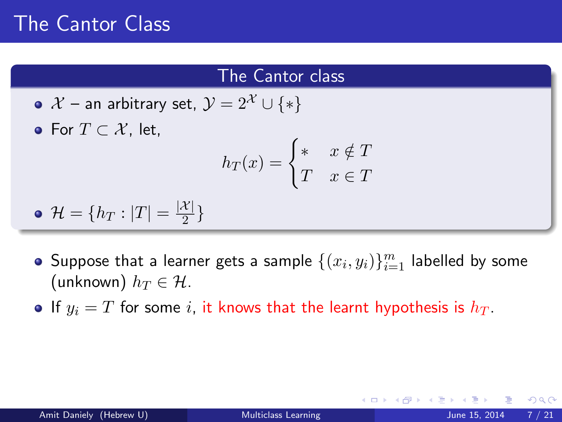### The Cantor class

•  $\mathcal{X}$  – an arbitrary set,  $\mathcal{Y} = 2^{\mathcal{X}} \cup \{*\}$ • For  $T \subset \mathcal{X}$ , let,  $h_T(x) = \begin{cases} * & x \notin T \\ T & \in T \end{cases}$  $T \quad x \in T$ 

$$
\bullet \ \mathcal{H} = \{h_T : |T| = \frac{|\mathcal{X}|}{2}\}
$$

- Suppose that a learner gets a sample  $\{(x_i, y_i)\}_{i=1}^m$  labelled by some (unknown)  $h_T \in \mathcal{H}$ .
- If  $y_i = T$  for some i, it knows that the learnt hypothesis is  $h_T$ .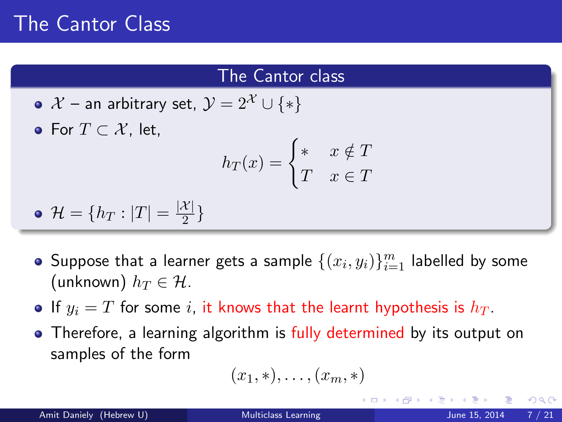### The Cantor class

•  $\mathcal{X}$  – an arbitrary set,  $\mathcal{Y} = 2^{\mathcal{X}} \cup \{*\}$ • For  $T \subset \mathcal{X}$ , let,  $h_T(x) = \begin{cases} * & x \notin T \\ T & \in T \end{cases}$  $T \quad x \in T$ 

$$
\bullet \ \mathcal{H} = \{h_T : |T| = \frac{|\mathcal{X}|}{2}\}
$$

- Suppose that a learner gets a sample  $\{(x_i, y_i)\}_{i=1}^m$  labelled by some (unknown)  $h_T \in \mathcal{H}$ .
- If  $y_i = T$  for some i, it knows that the learnt hypothesis is  $h_T$ .
- Therefore, a learning algorithm is fully determined by its output on samples of the form

$$
(x_1,\ast),\ldots,(x_m,\ast)
$$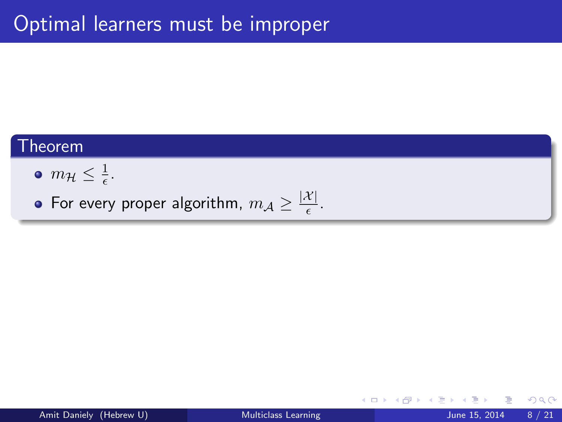### $\mathsf{T}$ heorem

 $m_{\mathcal{H}} \leq \frac{1}{\epsilon}$  $\frac{1}{\epsilon}$ .

For every proper algorithm,  $m_{\mathcal{A}} \geq \frac{|\mathcal{X}|}{\epsilon}$  $\frac{\tau_{\parallel}}{\epsilon}$ .

4 0 8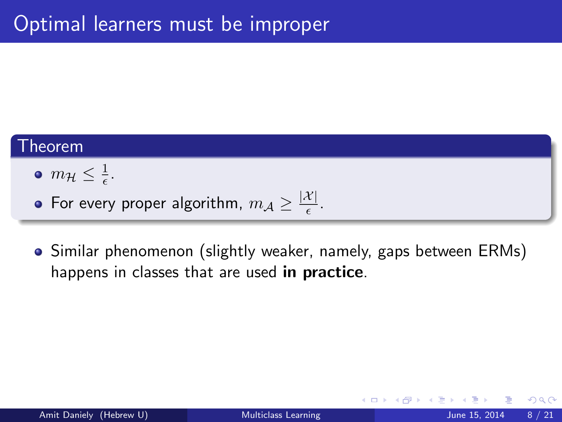$$
\bullet \ \ m_{\mathcal{H}} \leq \tfrac{1}{\epsilon}.
$$

For every proper algorithm,  $m_{\mathcal{A}} \geq \frac{|\mathcal{X}|}{\epsilon}$  $\frac{\tau_{\parallel}}{\epsilon}$ .

Similar phenomenon (slightly weaker, namely, gaps between ERMs) happens in classes that are used in practice.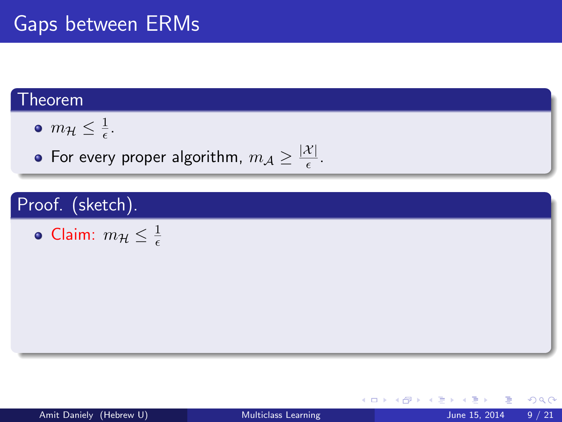$$
\bullet \ \ m_{\mathcal{H}} \leq \tfrac{1}{\epsilon}.
$$

For every proper algorithm,  $m_{\mathcal{A}} \geq \frac{|\mathcal{X}|}{\epsilon}$  $\frac{\tau_{\parallel}}{\epsilon}$ .

### Proof. (sketch).

$$
\bullet \text{ Claim: } m_{\mathcal{H}} \leq \tfrac{1}{\epsilon}
$$

K ロ ⊁ K 個 ≯ K 君 ⊁ K 君 ≯

 $\equiv$  990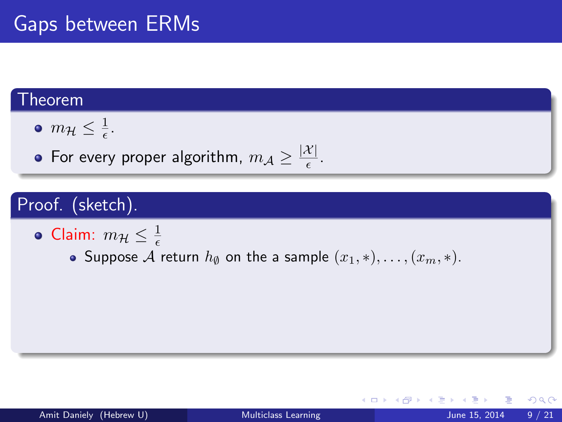$$
\bullet \ \ m_{\mathcal{H}} \leq \tfrac{1}{\epsilon}.
$$

For every proper algorithm,  $m_{\mathcal{A}} \geq \frac{|\mathcal{X}|}{\epsilon}$  $\frac{\tau_{\parallel}}{\epsilon}$ .

### Proof. (sketch).

• Claim: 
$$
m_{\mathcal{H}} \leq \frac{1}{\epsilon}
$$

• Suppose A return  $h_{\emptyset}$  on the a sample  $(x_1, *), \ldots, (x_m, *)$ .

メロメ メ倒 メメミメメミ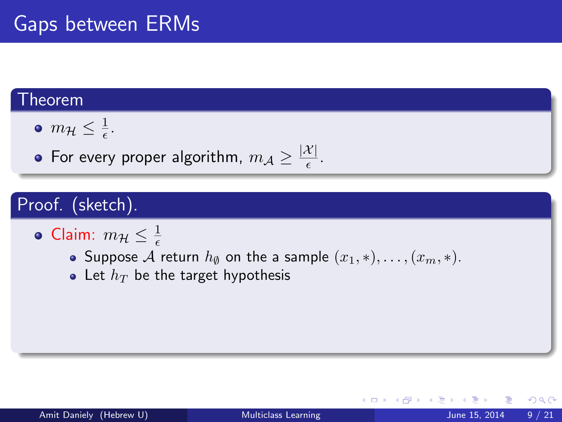$$
\bullet \ \ m_{\mathcal{H}} \leq \tfrac{1}{\epsilon}.
$$

For every proper algorithm,  $m_{\mathcal{A}} \geq \frac{|\mathcal{X}|}{\epsilon}$  $\frac{\tau_{\parallel}}{\epsilon}$ .

### Proof. (sketch).

• Claim: 
$$
m_{\mathcal{H}} \leq \frac{1}{\epsilon}
$$

- Suppose  ${\mathcal{A}}$  return  $h_\emptyset$  on the a sample  $(x_1, *), \ldots,$   $(x_m, *)$ .
- Let  $h_T$  be the target hypothesis

4 0 8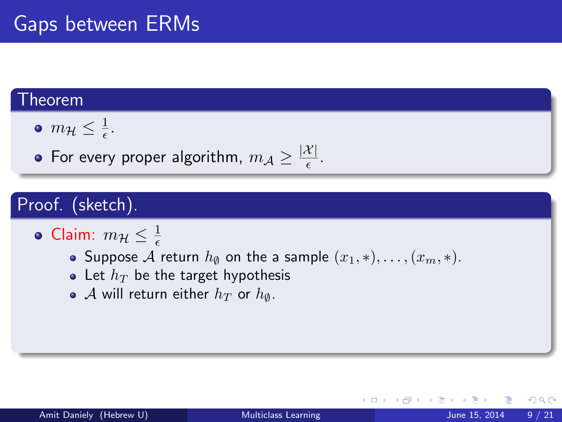$$
\bullet \ \ m_{\mathcal{H}} \leq \tfrac{1}{\epsilon}.
$$

For every proper algorithm,  $m_{\mathcal{A}} \geq \frac{|\mathcal{X}|}{\epsilon}$  $\frac{\tau_{\parallel}}{\epsilon}$ .

### Proof. (sketch).

• Claim: 
$$
m_{\mathcal{H}} \leq \frac{1}{\epsilon}
$$

- Suppose A return  $h_{\emptyset}$  on the a sample  $(x_1, *), \ldots, (x_m, *)$ .
- Let  $h_T$  be the target hypothesis
- A will return either  $h_T$  or  $h_{\emptyset}$ .

4 0 8

 $QQQ$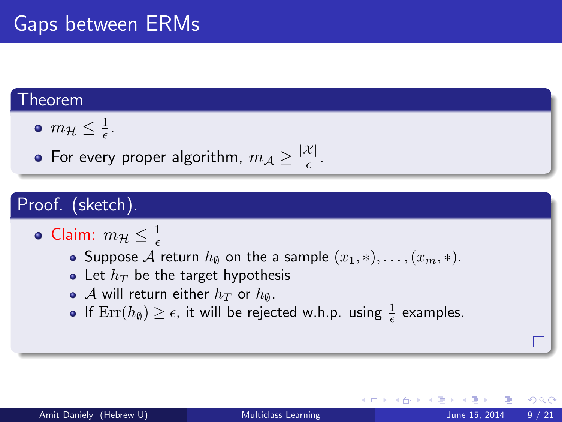$$
\bullet \ \ m_{\mathcal{H}} \leq \tfrac{1}{\epsilon}.
$$

For every proper algorithm,  $m_{\mathcal{A}} \geq \frac{|\mathcal{X}|}{\epsilon}$  $\frac{\tau_{\parallel}}{\epsilon}$ .

### Proof. (sketch).

• Claim: 
$$
m_{\mathcal{H}} \leq \frac{1}{\epsilon}
$$

- Suppose A return  $h_{\emptyset}$  on the a sample  $(x_1, *), \ldots, (x_m, *)$ .
- Let  $h_T$  be the target hypothesis
- A will return either  $h_T$  or  $h_{\emptyset}$ .
- If  $\mathrm{Err}(h_\emptyset)\geq \epsilon$ , it will be rejected w.h.p. using  $\frac{1}{\epsilon}$  examples.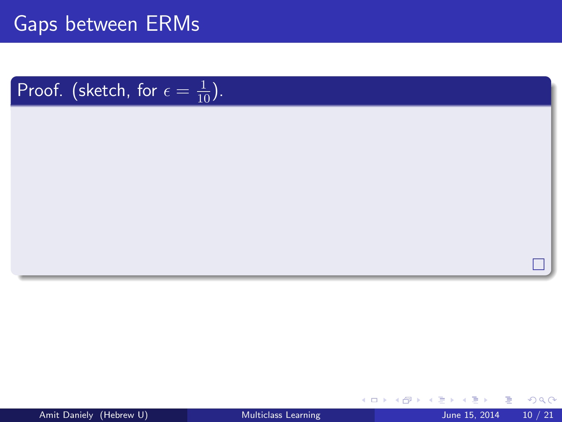# Proof. (sketch, for  $\epsilon = \frac{1}{10}$ ).

4 0 8 1

 $\mathcal{A}$ 

 $\rightarrow$   $\rightarrow$   $\rightarrow$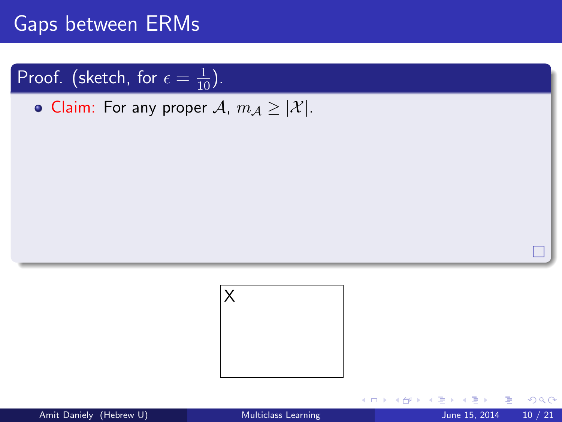# Proof. (sketch, for  $\epsilon = \frac{1}{10}$ ).

• Claim: For any proper  $\mathcal{A}$ ,  $m_{\mathcal{A}} \geq |\mathcal{X}|$ .



4 0 8

÷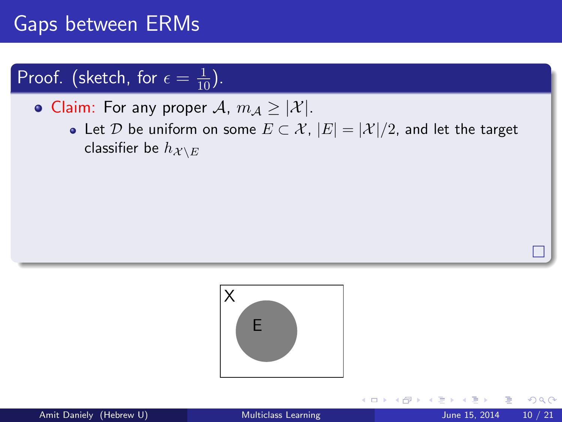# Proof. (sketch, for  $\epsilon = \frac{1}{10}$ ).

• Claim: For any proper A,  $m_A \geq |\mathcal{X}|$ .

• Let D be uniform on some  $E \subset \mathcal{X}$ ,  $|E| = |\mathcal{X}|/2$ , and let the target classifier be  $h_{\mathcal{X} \setminus E}$ 



 $\leftarrow$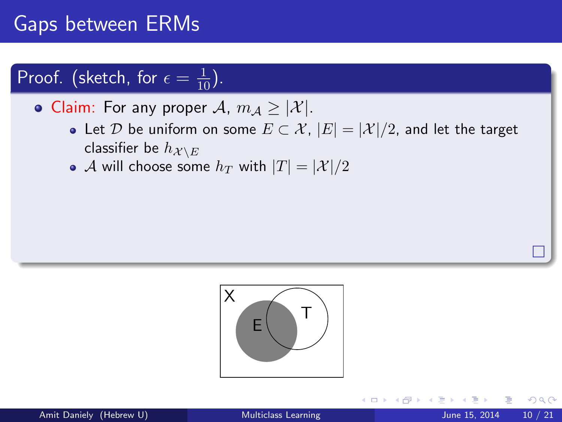# Proof. (sketch, for  $\epsilon = \frac{1}{10}$ ).

• Claim: For any proper A,  $m_A \geq |\mathcal{X}|$ .

- Let D be uniform on some  $E \subset \mathcal{X}$ ,  $|E| = |\mathcal{X}|/2$ , and let the target classifier be  $h_{\mathcal{X} \setminus E}$
- A will choose some  $h_T$  with  $|T| = |\mathcal{X}|/2$



 $\leftarrow$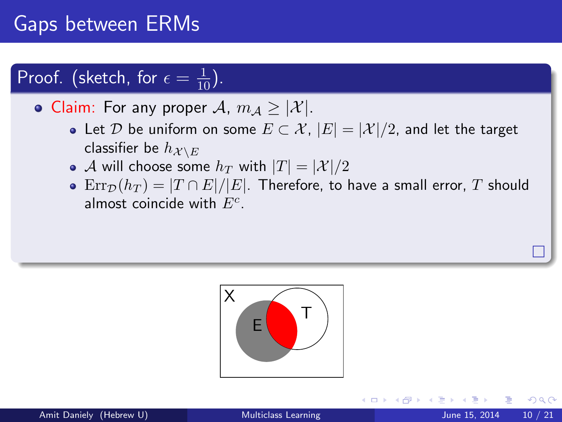# Proof. (sketch, for  $\epsilon = \frac{1}{10}$ ).

• Claim: For any proper A,  $m_A \geq |\mathcal{X}|$ .

- Let D be uniform on some  $E \subset \mathcal{X}$ ,  $|E| = |\mathcal{X}|/2$ , and let the target classifier be  $h_{\mathcal{X} \setminus E}$
- A will choose some  $h_T$  with  $|T| = |\mathcal{X}|/2$
- Err $\mathcal{D}(h_T) = |T \cap E|/|E|$ . Therefore, to have a small error, T should almost coincide with  $E^c$ .



つへへ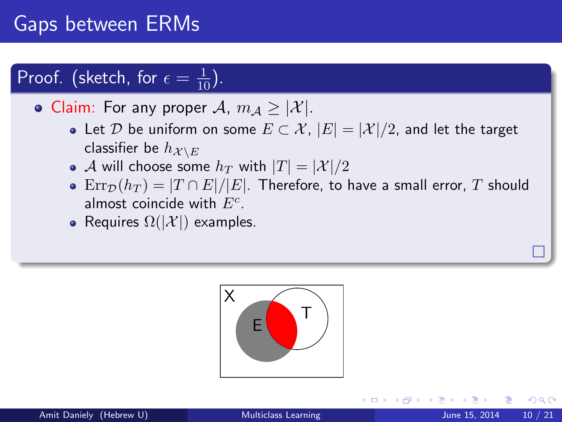# Proof. (sketch, for  $\epsilon = \frac{1}{10}$ ).

• Claim: For any proper A,  $m_A \geq |\mathcal{X}|$ .

- Let D be uniform on some  $E \subset \mathcal{X}$ ,  $|E| = |\mathcal{X}|/2$ , and let the target classifier be  $h_{\mathcal{X} \setminus E}$
- A will choose some  $h_T$  with  $|T| = |\mathcal{X}|/2$
- $\text{Err}_{\mathcal{D}}(h_T) = |T \cap E|/|E|$ . Therefore, to have a small error, T should almost coincide with  $E^c$ .
- Requires  $\Omega(|\mathcal{X}|)$  examples.



つへへ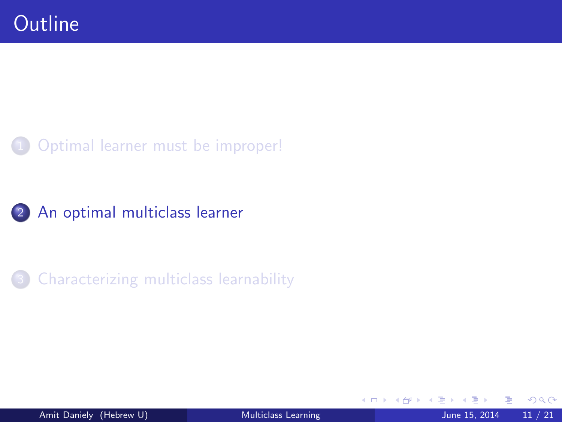### [Optimal learner must be improper!](#page-13-0)





<span id="page-35-0"></span>4 0 8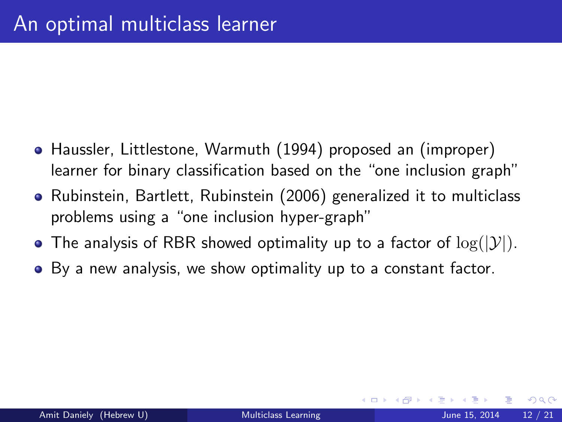- Haussler, Littlestone, Warmuth (1994) proposed an (improper) learner for binary classification based on the "one inclusion graph"
- Rubinstein, Bartlett, Rubinstein (2006) generalized it to multiclass problems using a "one inclusion hyper-graph"
- The analysis of RBR showed optimality up to a factor of  $log(|\mathcal{Y}|)$ .
- By a new analysis, we show optimality up to a constant factor.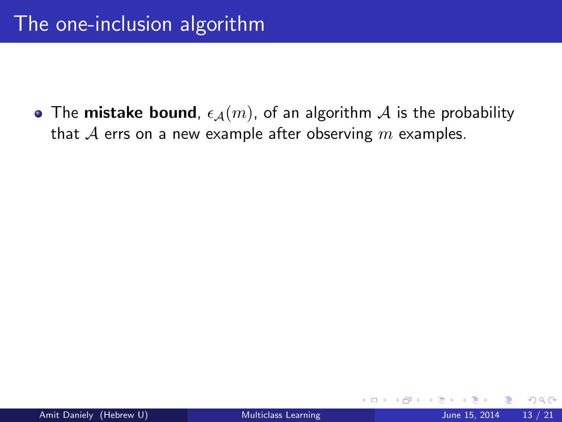• The mistake bound,  $\epsilon_A(m)$ , of an algorithm A is the probability that  $A$  errs on a new example after observing  $m$  examples.

4 0 8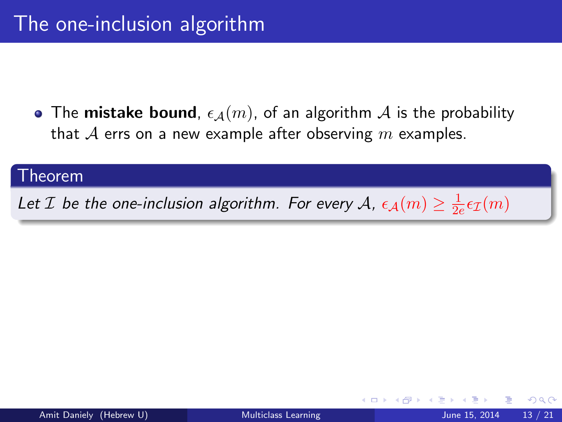• The mistake bound,  $\epsilon_{\mathcal{A}}(m)$ , of an algorithm  $\mathcal A$  is the probability that  $A$  errs on a new example after observing m examples.

#### Theorem

Let  $\mathcal I$  be the one-inclusion algorithm. For every  $\mathcal A$ ,  $\epsilon_{\mathcal A}(m)\geq \frac{1}{2d}$  $\frac{1}{2e} \epsilon_{\mathcal{I}}(m)$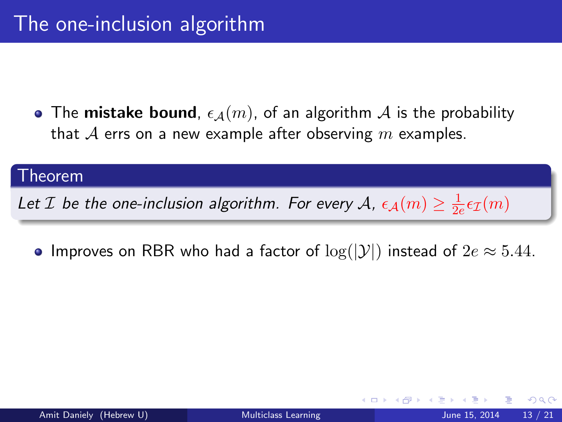• The mistake bound,  $\epsilon_{\mathcal{A}}(m)$ , of an algorithm  $\mathcal A$  is the probability that  $A$  errs on a new example after observing m examples.

#### Theorem

Let  $\mathcal I$  be the one-inclusion algorithm. For every  $\mathcal A$ ,  $\epsilon_{\mathcal A}(m)\geq \frac{1}{2d}$  $\frac{1}{2e} \epsilon_{\mathcal{I}}(m)$ 

• Improves on RBR who had a factor of  $log(|\mathcal{Y}|)$  instead of  $2e \approx 5.44$ .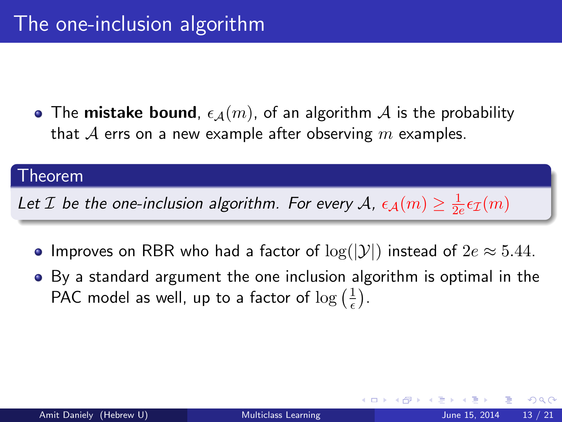• The mistake bound,  $\epsilon_A(m)$ , of an algorithm A is the probability that  $A$  errs on a new example after observing m examples.

#### Theorem

Let  $\mathcal I$  be the one-inclusion algorithm. For every  $\mathcal A$ ,  $\epsilon_{\mathcal A}(m)\geq \frac{1}{2d}$  $\frac{1}{2e} \epsilon_{\mathcal{I}}(m)$ 

- Improves on RBR who had a factor of  $log(|\mathcal{Y}|)$  instead of  $2e \approx 5.44$ .
- By a standard argument the one inclusion algorithm is optimal in the PAC model as well, up to a factor of  $\log(\frac{1}{\epsilon})$  $\frac{1}{\epsilon}$ .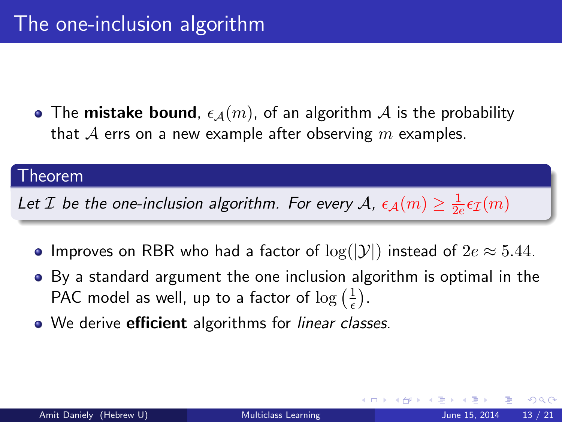• The mistake bound,  $\epsilon_A(m)$ , of an algorithm A is the probability that  $A$  errs on a new example after observing m examples.

#### Theorem

Let  $\mathcal I$  be the one-inclusion algorithm. For every  $\mathcal A$ ,  $\epsilon_{\mathcal A}(m)\geq \frac{1}{2d}$  $\frac{1}{2e} \epsilon_{\mathcal{I}}(m)$ 

- Improves on RBR who had a factor of  $log(|\mathcal{Y}|)$  instead of  $2e \approx 5.44$ .
- By a standard argument the one inclusion algorithm is optimal in the PAC model as well, up to a factor of  $\log(\frac{1}{\epsilon})$  $\frac{1}{\epsilon}$ .
- We derive **efficient** algorithms for *linear classes*.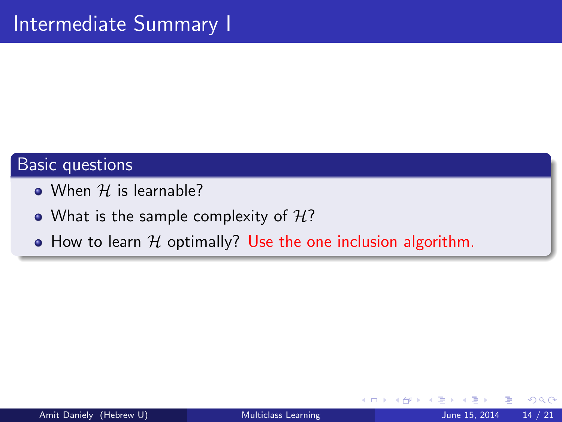- $\bullet$  When H is learnable?
- What is the sample complexity of  $H$ ?
- How to learn  $H$  optimally? Use the one inclusion algorithm.

4 0 8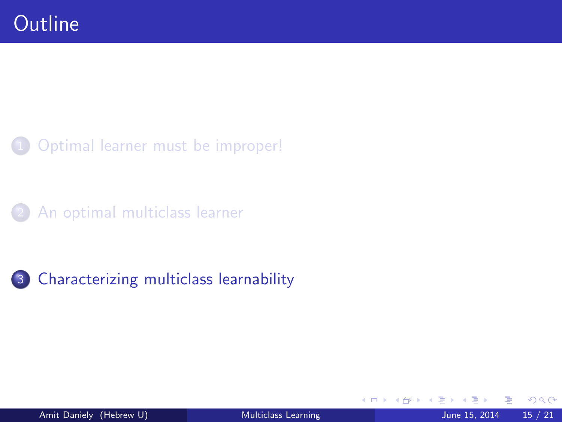[Optimal learner must be improper!](#page-13-0)

[An optimal multiclass learner](#page-35-0)



<span id="page-43-0"></span>4 0 8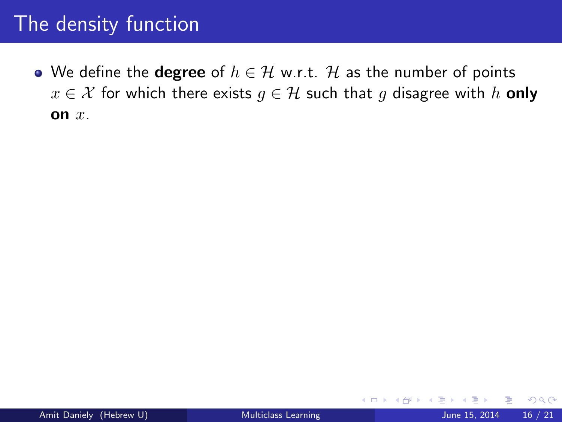• We define the **degree** of  $h \in \mathcal{H}$  w.r.t. H as the number of points  $x \in \mathcal{X}$  for which there exists  $g \in \mathcal{H}$  such that g disagree with h only on  $x$ .

4 0 8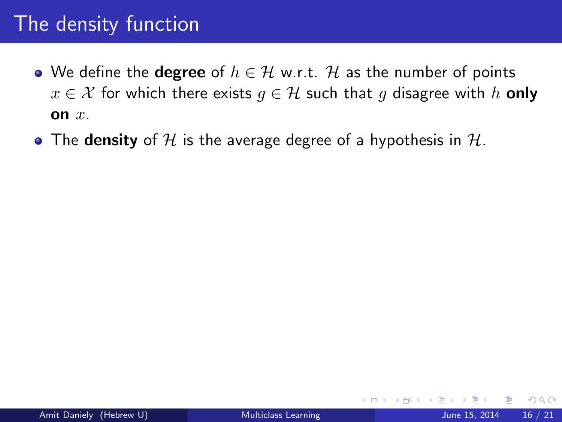- We define the **degree** of  $h \in \mathcal{H}$  w.r.t. H as the number of points  $x \in \mathcal{X}$  for which there exists  $q \in \mathcal{H}$  such that g disagree with h **only** on  $x$ .
- The density of H is the average degree of a hypothesis in  $H$ .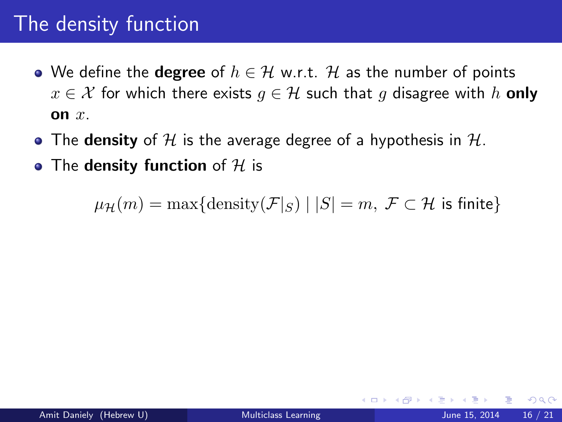- We define the **degree** of  $h \in \mathcal{H}$  w.r.t. H as the number of points  $x \in \mathcal{X}$  for which there exists  $q \in \mathcal{H}$  such that g disagree with h **only** on  $x$ .
- The density of H is the average degree of a hypothesis in  $H$ .
- The density function of  $H$  is

 $\mu_{\mathcal{H}}(m) = \max\{\text{density}(\mathcal{F}|_S) \mid |S| = m, \ \mathcal{F} \subset \mathcal{H} \text{ is finite}\}\$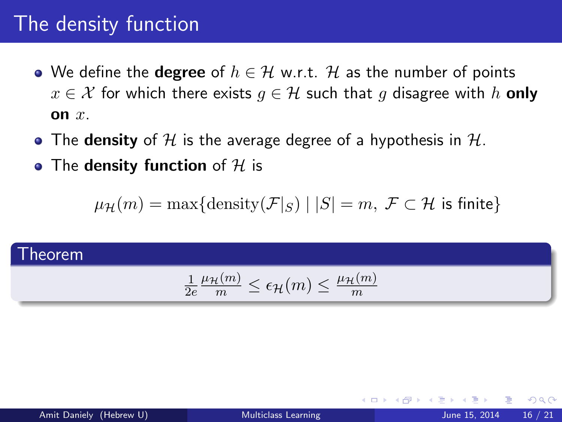- We define the **degree** of  $h \in \mathcal{H}$  w.r.t. H as the number of points  $x \in \mathcal{X}$  for which there exists  $q \in \mathcal{H}$  such that g disagree with h **only** on  $x$ .
- The density of H is the average degree of a hypothesis in  $H$ .
- The density function of  $H$  is

 $\mu_{\mathcal{H}}(m) = \max\{\text{density}(\mathcal{F}|_S) \mid |S| = m, \ \mathcal{F} \subset \mathcal{H} \text{ is finite}\}\$ 

#### Theorem

$$
\tfrac{1}{2e} \tfrac{\mu_{\mathcal{H}}(m)}{m} \leq \epsilon_{\mathcal{H}}(m) \leq \tfrac{\mu_{\mathcal{H}}(m)}{m}
$$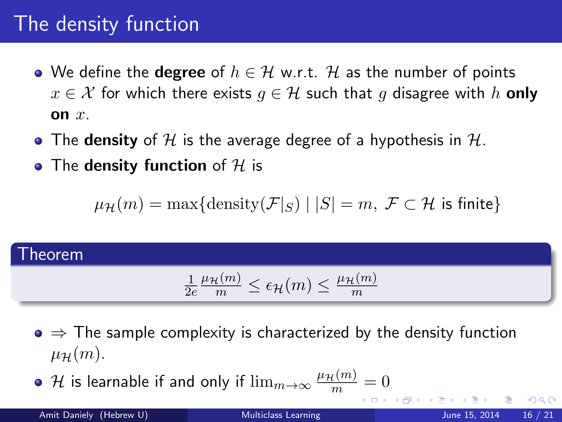- We define the **degree** of  $h \in \mathcal{H}$  w.r.t. H as the number of points  $x \in \mathcal{X}$  for which there exists  $q \in \mathcal{H}$  such that g disagree with h **only** on  $x$ .
- The density of H is the average degree of a hypothesis in  $H$ .
- The density function of  $H$  is

 $\mu_{\mathcal{H}}(m) = \max\{\text{density}(\mathcal{F}|_S) \mid |S| = m, \ \mathcal{F} \subset \mathcal{H} \text{ is finite}\}\$ 

#### Theorem

$$
\frac{1}{2e} \frac{\mu_{\mathcal{H}}(m)}{m} \le \epsilon_{\mathcal{H}}(m) \le \frac{\mu_{\mathcal{H}}(m)}{m}
$$

 $\bullet \Rightarrow$  The sample complexity is characterized by the density function  $\mu_{\mathcal{H}}(m)$ .

 ${\cal H}$  is learnable if and only if  $\lim_{m\to\infty}\frac{\mu_{\cal H}(m)}{m}=0$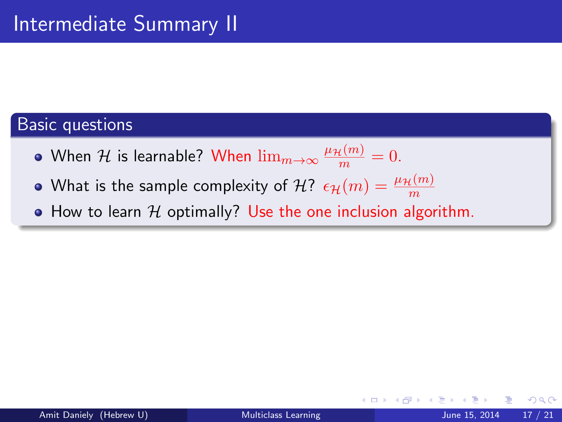- When  $\mathcal H$  is learnable? When  $\lim_{m\to\infty}\frac{\mu_\mathcal H(m)}{m}=0.$
- What is the sample complexity of  $\mathcal{H}$ ?  $\epsilon_{\mathcal{H}}(m) = \frac{\mu_{\mathcal{H}}(m)}{m}$
- $\bullet$  How to learn  $H$  optimally? Use the one inclusion algorithm.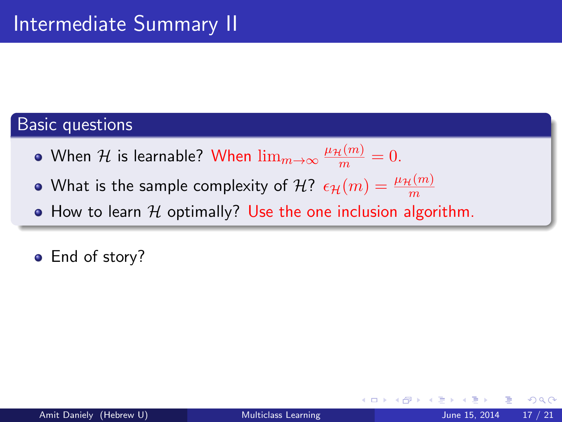- When  $\mathcal H$  is learnable? When  $\lim_{m\to\infty}\frac{\mu_\mathcal H(m)}{m}=0.$
- What is the sample complexity of  $\mathcal{H}$ ?  $\epsilon_{\mathcal{H}}(m) = \frac{\mu_{\mathcal{H}}(m)}{m}$
- $\bullet$  How to learn  $H$  optimally? Use the one inclusion algorithm.
- End of story?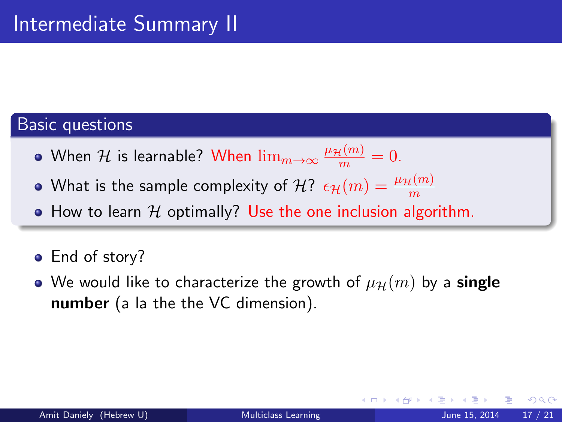- When  $\mathcal H$  is learnable? When  $\lim_{m\to\infty}\frac{\mu_\mathcal H(m)}{m}=0.$
- What is the sample complexity of  $\mathcal{H}$ ?  $\epsilon_{\mathcal{H}}(m) = \frac{\mu_{\mathcal{H}}(m)}{m}$
- $\bullet$  How to learn  $H$  optimally? Use the one inclusion algorithm.
- End of story?
- We would like to characterize the growth of  $\mu_{\mathcal{H}}(m)$  by a single number (a la the the VC dimension).

つひひ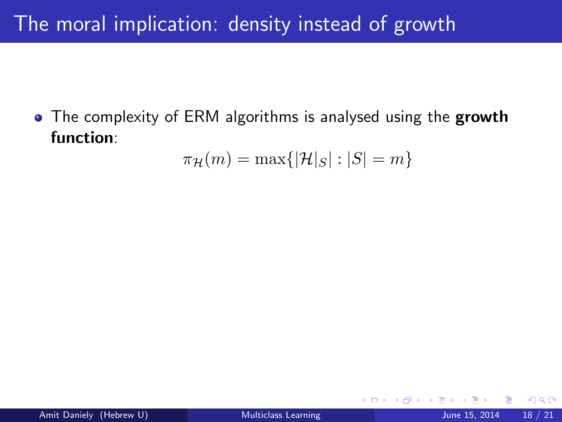## The moral implication: density instead of growth

• The complexity of ERM algorithms is analysed using the growth function:

$$
\pi_{\mathcal{H}}(m)=\max\{|\mathcal{H}|_S|:|S|=m\}
$$

4 0 8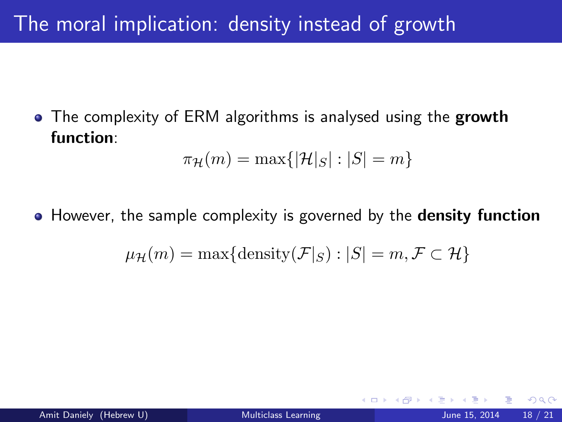## The moral implication: density instead of growth

• The complexity of ERM algorithms is analysed using the growth function:

$$
\pi_{\mathcal{H}}(m) = \max\{|\mathcal{H}|_S| : |S| = m\}
$$

• However, the sample complexity is governed by the **density function** 

$$
\mu_{\mathcal{H}}(m) = \max\{\text{density}(\mathcal{F}|_S) : |S| = m, \mathcal{F} \subset \mathcal{H}\}\
$$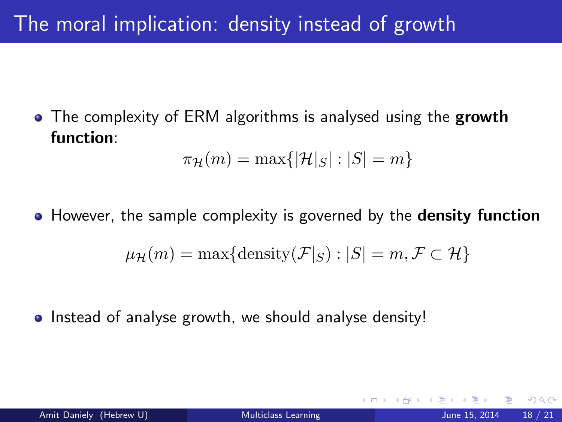## The moral implication: density instead of growth

• The complexity of ERM algorithms is analysed using the growth function:

$$
\pi_{\mathcal{H}}(m) = \max\{|\mathcal{H}|_S| : |S| = m\}
$$

• However, the sample complexity is governed by the **density function** 

$$
\mu_{\mathcal{H}}(m) = \max\{\text{density}(\mathcal{F}|_S) : |S| = m, \mathcal{F} \subset \mathcal{H}\}\
$$

• Instead of analyse growth, we should analyse density!

つひひ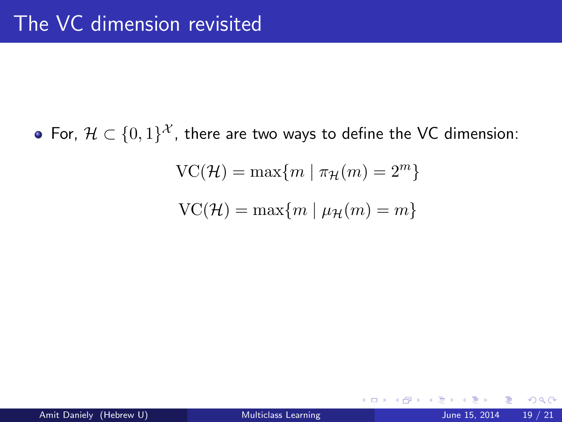For,  $\mathcal{H} \subset \{0,1\}^{\mathcal{X}}$ , there are two ways to define the VC dimension:

$$
\operatorname{VC}(\mathcal{H}) = \max\{m \mid \pi_{\mathcal{H}}(m) = 2^m\}
$$

$$
\operatorname{VC}({\mathcal H})=\max\{m \mid \mu_{{\mathcal H}}(m)=m\}
$$

4 0 8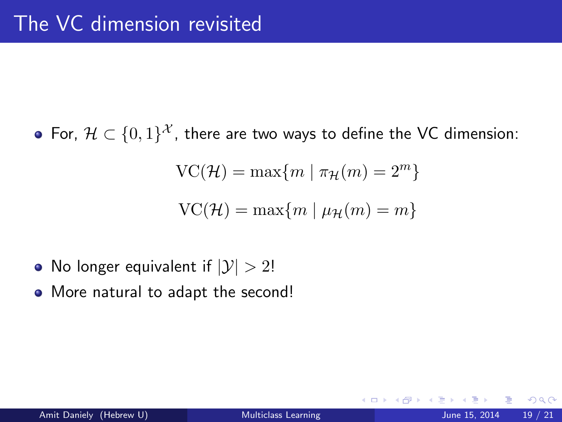For,  $\mathcal{H} \subset \{0,1\}^{\mathcal{X}}$ , there are two ways to define the VC dimension:

$$
\operatorname{VC}(\mathcal{H}) = \max\{m \mid \pi_{\mathcal{H}}(m) = 2^m\}
$$

$$
\operatorname{VC}({\mathcal H}) = \max\{m \mid \mu_{{\mathcal H}}(m) = m\}
$$

- No longer equivalent if  $|\mathcal{Y}| > 2!$
- More natural to adapt the second!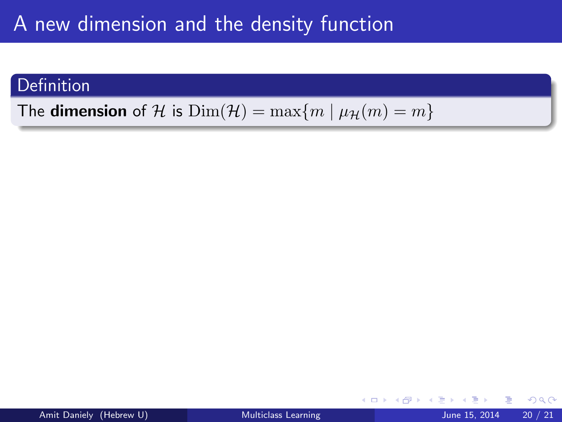### **Definition**

The **dimension** of H is  $Dim(\mathcal{H}) = max{m | \mu_{\mathcal{H}}(m) = m}$ 

4 0 8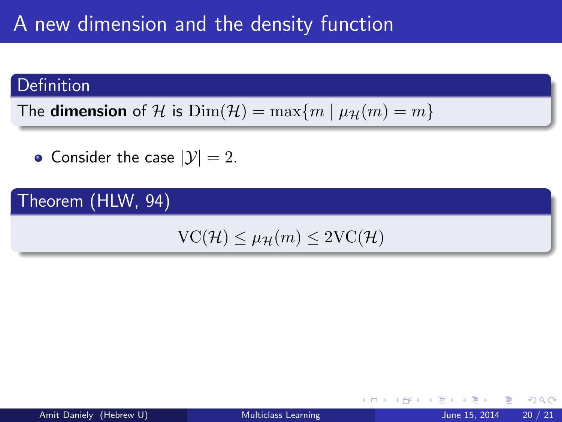### **Definition**

The **dimension** of H is  $Dim(\mathcal{H}) = \max\{m \mid \mu_{\mathcal{H}}(m) = m\}$ 

• Consider the case  $|\mathcal{Y}| = 2$ .

### Theorem (HLW, 94)

 $VC(\mathcal{H}) \leq \mu_{\mathcal{H}}(m) \leq 2VC(\mathcal{H})$ 

4 0 8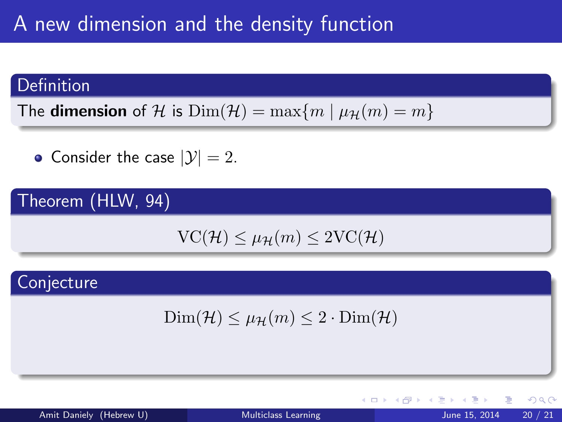### **Definition**

The **dimension** of H is  $Dim(\mathcal{H}) = max\{m \mid \mu_{\mathcal{H}}(m) = m\}$ 

• Consider the case  $|\mathcal{Y}| = 2$ .

### Theorem (HLW, 94)

$$
VC(\mathcal{H}) \le \mu_{\mathcal{H}}(m) \le 2VC(\mathcal{H})
$$

### **Conjecture**

$$
\text{Dim}(\mathcal{H}) \le \mu_{\mathcal{H}}(m) \le 2 \cdot \text{Dim}(\mathcal{H})
$$

∢ ロ ▶ . ∢ 母 ▶ . ∢ ヨ ▶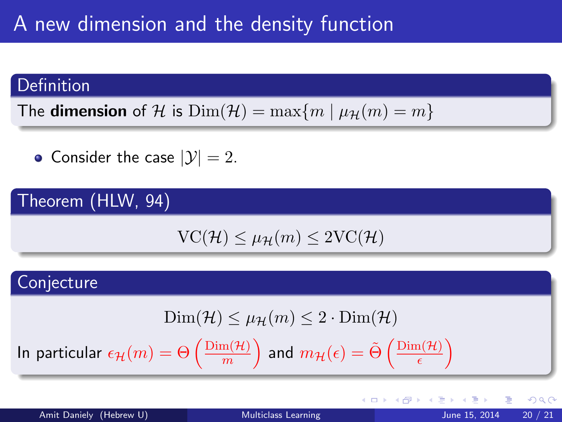#### **Definition**

The **dimension** of H is  $Dim(\mathcal{H}) = max\{m \mid \mu_{\mathcal{H}}(m) = m\}$ 

• Consider the case  $|\mathcal{Y}| = 2$ .

### Theorem (HLW, 94)

$$
VC(\mathcal{H}) \le \mu_{\mathcal{H}}(m) \le 2VC(\mathcal{H})
$$

### **Conjecture**

$$
\text{Dim}({\mathcal H})\leq \mu_{\mathcal H}(m)\leq 2\cdot \text{Dim}({\mathcal H})
$$

In particular  $\epsilon_\mathcal{H}(m) = \Theta\left(\frac{\text{Dim}(\mathcal{H})}{m}\right)$  $\binom{\mathrm{m}(\mathcal{H})}{m}$  and  $m_{\mathcal{H}}(\epsilon)=\tilde{\Theta}\left(\frac{\mathrm{Dim}(\mathcal{H})}{\epsilon}\right)$  $\frac{\mathrm{n}(\mathcal{H})}{\epsilon}$ 

 $\Omega$ 

メロメ メ都 メメ きょくきょ